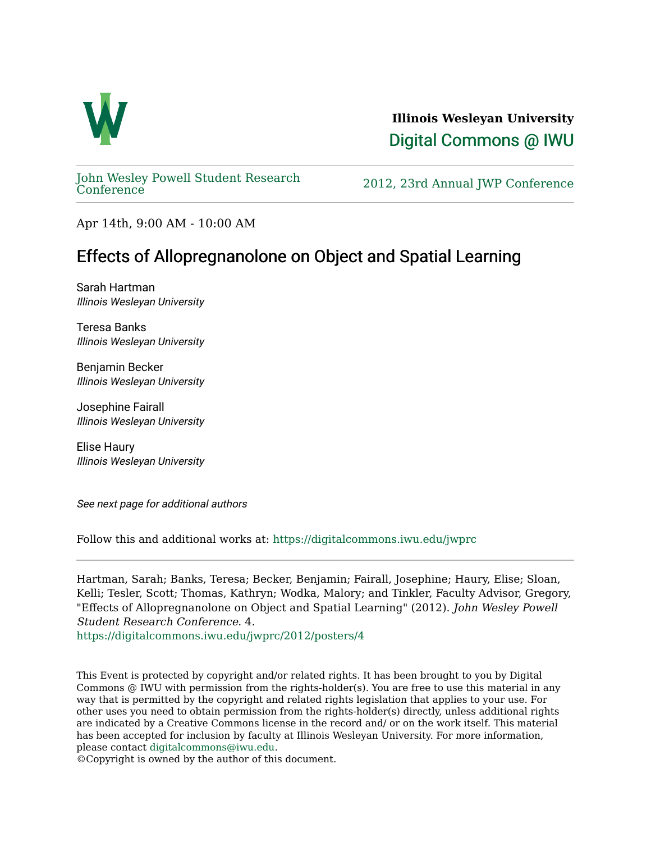

**Illinois Wesleyan University**  [Digital Commons @ IWU](https://digitalcommons.iwu.edu/) 

[John Wesley Powell Student Research](https://digitalcommons.iwu.edu/jwprc) 

2012, 23rd Annual JWP [Conference](https://digitalcommons.iwu.edu/jwprc)

Apr 14th, 9:00 AM - 10:00 AM

## Effects of Allopregnanolone on Object and Spatial Learning

Sarah Hartman Illinois Wesleyan University

Teresa Banks Illinois Wesleyan University

Benjamin Becker Illinois Wesleyan University

Josephine Fairall Illinois Wesleyan University

Elise Haury Illinois Wesleyan University

See next page for additional authors

Follow this and additional works at: [https://digitalcommons.iwu.edu/jwprc](https://digitalcommons.iwu.edu/jwprc?utm_source=digitalcommons.iwu.edu%2Fjwprc%2F2012%2Fposters%2F4&utm_medium=PDF&utm_campaign=PDFCoverPages) 

Hartman, Sarah; Banks, Teresa; Becker, Benjamin; Fairall, Josephine; Haury, Elise; Sloan, Kelli; Tesler, Scott; Thomas, Kathryn; Wodka, Malory; and Tinkler, Faculty Advisor, Gregory, "Effects of Allopregnanolone on Object and Spatial Learning" (2012). John Wesley Powell Student Research Conference. 4.

[https://digitalcommons.iwu.edu/jwprc/2012/posters/4](https://digitalcommons.iwu.edu/jwprc/2012/posters/4?utm_source=digitalcommons.iwu.edu%2Fjwprc%2F2012%2Fposters%2F4&utm_medium=PDF&utm_campaign=PDFCoverPages) 

This Event is protected by copyright and/or related rights. It has been brought to you by Digital Commons @ IWU with permission from the rights-holder(s). You are free to use this material in any way that is permitted by the copyright and related rights legislation that applies to your use. For other uses you need to obtain permission from the rights-holder(s) directly, unless additional rights are indicated by a Creative Commons license in the record and/ or on the work itself. This material has been accepted for inclusion by faculty at Illinois Wesleyan University. For more information, please contact [digitalcommons@iwu.edu.](mailto:digitalcommons@iwu.edu)

©Copyright is owned by the author of this document.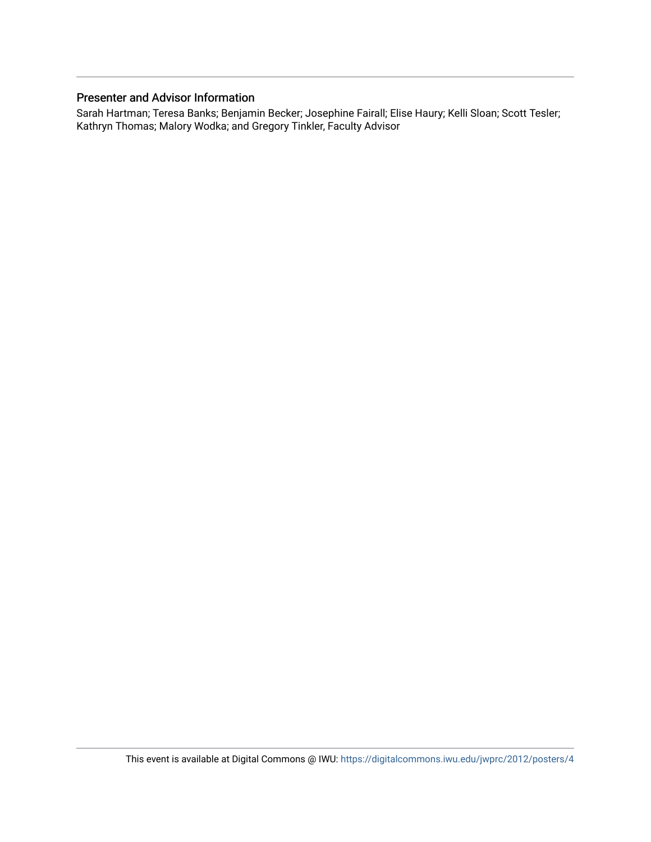## Presenter and Advisor Information

Sarah Hartman; Teresa Banks; Benjamin Becker; Josephine Fairall; Elise Haury; Kelli Sloan; Scott Tesler; Kathryn Thomas; Malory Wodka; and Gregory Tinkler, Faculty Advisor